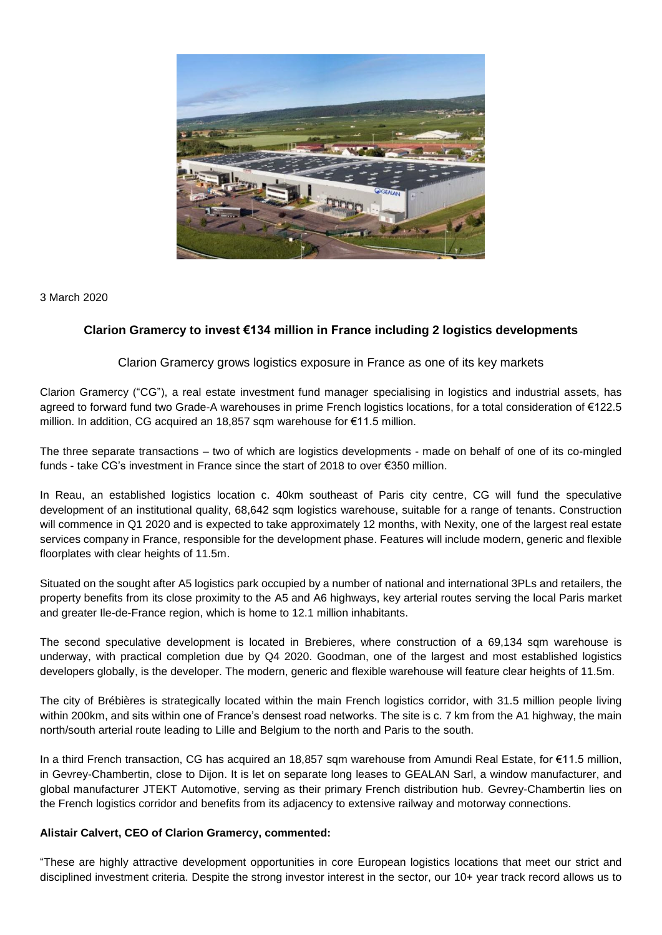

3 March 2020

## **Clarion Gramercy to invest €134 million in France including 2 logistics developments**

Clarion Gramercy grows logistics exposure in France as one of its key markets

Clarion Gramercy ("CG"), a real estate investment fund manager specialising in logistics and industrial assets, has agreed to forward fund two Grade-A warehouses in prime French logistics locations, for a total consideration of €122.5 million. In addition, CG acquired an 18,857 sqm warehouse for €11.5 million.

The three separate transactions – two of which are logistics developments - made on behalf of one of its co-mingled funds - take CG's investment in France since the start of 2018 to over €350 million.

In Reau, an established logistics location c. 40km southeast of Paris city centre, CG will fund the speculative development of an institutional quality, 68,642 sqm logistics warehouse, suitable for a range of tenants. Construction will commence in Q1 2020 and is expected to take approximately 12 months, with Nexity, one of the largest real estate services company in France, responsible for the development phase. Features will include modern, generic and flexible floorplates with clear heights of 11.5m.

Situated on the sought after A5 logistics park occupied by a number of national and international 3PLs and retailers, the property benefits from its close proximity to the A5 and A6 highways, key arterial routes serving the local Paris market and greater Ile-de-France region, which is home to 12.1 million inhabitants.

The second speculative development is located in Brebieres, where construction of a 69,134 sqm warehouse is underway, with practical completion due by Q4 2020. Goodman, one of the largest and most established logistics developers globally, is the developer. The modern, generic and flexible warehouse will feature clear heights of 11.5m.

The city of Brébières is strategically located within the main French logistics corridor, with 31.5 million people living within 200km, and sits within one of France's densest road networks. The site is c. 7 km from the A1 highway, the main north/south arterial route leading to Lille and Belgium to the north and Paris to the south.

In a third French transaction, CG has acquired an 18,857 sqm warehouse from Amundi Real Estate, for €11.5 million, in Gevrey-Chambertin, close to Dijon. It is let on separate long leases to GEALAN Sarl, a window manufacturer, and global manufacturer JTEKT Automotive, serving as their primary French distribution hub. Gevrey-Chambertin lies on the French logistics corridor and benefits from its adjacency to extensive railway and motorway connections.

## **Alistair Calvert, CEO of Clarion Gramercy, commented:**

"These are highly attractive development opportunities in core European logistics locations that meet our strict and disciplined investment criteria. Despite the strong investor interest in the sector, our 10+ year track record allows us to